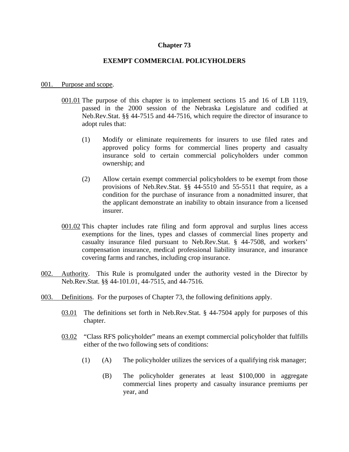# **Chapter 73**

# **EXEMPT COMMERCIAL POLICYHOLDERS**

### 001. Purpose and scope.

- 001.01 The purpose of this chapter is to implement sections 15 and 16 of LB 1119, passed in the 2000 session of the Nebraska Legislature and codified at Neb.Rev.Stat. §§ 44-7515 and 44-7516, which require the director of insurance to adopt rules that:
	- (1) Modify or eliminate requirements for insurers to use filed rates and approved policy forms for commercial lines property and casualty insurance sold to certain commercial policyholders under common ownership; and
	- (2) Allow certain exempt commercial policyholders to be exempt from those provisions of Neb.Rev.Stat. §§ 44-5510 and 55-5511 that require, as a condition for the purchase of insurance from a nonadmitted insurer, that the applicant demonstrate an inability to obtain insurance from a licensed insurer.
- 001.02 This chapter includes rate filing and form approval and surplus lines access exemptions for the lines, types and classes of commercial lines property and casualty insurance filed pursuant to Neb.Rev.Stat. § 44-7508, and workers' compensation insurance, medical professional liability insurance, and insurance covering farms and ranches, including crop insurance.
- 002. Authority. This Rule is promulgated under the authority vested in the Director by Neb.Rev.Stat. §§ 44-101.01, 44-7515, and 44-7516.
- 003. Definitions. For the purposes of Chapter 73, the following definitions apply.
	- 03.01 The definitions set forth in Neb.Rev.Stat. § 44-7504 apply for purposes of this chapter.
	- 03.02 "Class RFS policyholder" means an exempt commercial policyholder that fulfills either of the two following sets of conditions:
		- (1) (A) The policyholder utilizes the services of a qualifying risk manager;
			- (B) The policyholder generates at least \$100,000 in aggregate commercial lines property and casualty insurance premiums per year, and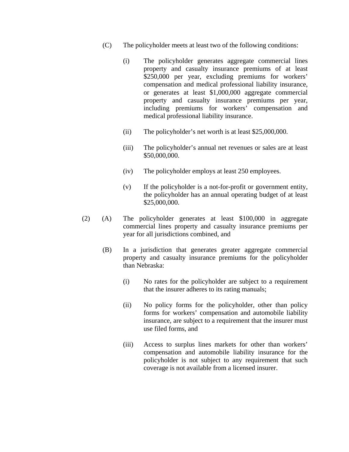- (C) The policyholder meets at least two of the following conditions:
	- (i) The policyholder generates aggregate commercial lines property and casualty insurance premiums of at least \$250,000 per year, excluding premiums for workers' compensation and medical professional liability insurance, or generates at least \$1,000,000 aggregate commercial property and casualty insurance premiums per year, including premiums for workers' compensation and medical professional liability insurance.
	- (ii) The policyholder's net worth is at least \$25,000,000.
	- (iii) The policyholder's annual net revenues or sales are at least \$50,000,000.
	- (iv) The policyholder employs at least 250 employees.
	- (v) If the policyholder is a not-for-profit or government entity, the policyholder has an annual operating budget of at least \$25,000,000.
- (2) (A) The policyholder generates at least \$100,000 in aggregate commercial lines property and casualty insurance premiums per year for all jurisdictions combined, and
	- (B) In a jurisdiction that generates greater aggregate commercial property and casualty insurance premiums for the policyholder than Nebraska:
		- (i) No rates for the policyholder are subject to a requirement that the insurer adheres to its rating manuals;
		- (ii) No policy forms for the policyholder, other than policy forms for workers' compensation and automobile liability insurance, are subject to a requirement that the insurer must use filed forms, and
		- (iii) Access to surplus lines markets for other than workers' compensation and automobile liability insurance for the policyholder is not subject to any requirement that such coverage is not available from a licensed insurer.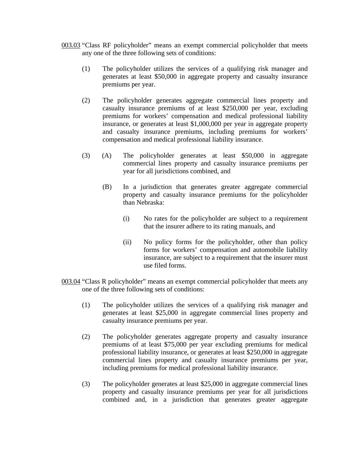- 003.03 "Class RF policyholder" means an exempt commercial policyholder that meets any one of the three following sets of conditions:
	- (1) The policyholder utilizes the services of a qualifying risk manager and generates at least \$50,000 in aggregate property and casualty insurance premiums per year.
	- (2) The policyholder generates aggregate commercial lines property and casualty insurance premiums of at least \$250,000 per year, excluding premiums for workers' compensation and medical professional liability insurance, or generates at least \$1,000,000 per year in aggregate property and casualty insurance premiums, including premiums for workers' compensation and medical professional liability insurance.
	- (3) (A) The policyholder generates at least \$50,000 in aggregate commercial lines property and casualty insurance premiums per year for all jurisdictions combined, and
		- (B) In a jurisdiction that generates greater aggregate commercial property and casualty insurance premiums for the policyholder than Nebraska:
			- (i) No rates for the policyholder are subject to a requirement that the insurer adhere to its rating manuals, and
			- (ii) No policy forms for the policyholder, other than policy forms for workers' compensation and automobile liability insurance, are subject to a requirement that the insurer must use filed forms.
- 003.04 "Class R policyholder" means an exempt commercial policyholder that meets any one of the three following sets of conditions:
	- (1) The policyholder utilizes the services of a qualifying risk manager and generates at least \$25,000 in aggregate commercial lines property and casualty insurance premiums per year.
	- (2) The policyholder generates aggregate property and casualty insurance premiums of at least \$75,000 per year excluding premiums for medical professional liability insurance, or generates at least \$250,000 in aggregate commercial lines property and casualty insurance premiums per year, including premiums for medical professional liability insurance.
	- (3) The policyholder generates at least \$25,000 in aggregate commercial lines property and casualty insurance premiums per year for all jurisdictions combined and, in a jurisdiction that generates greater aggregate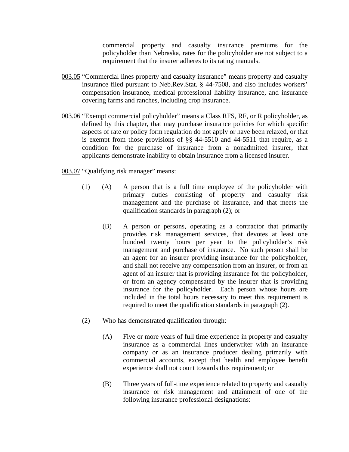commercial property and casualty insurance premiums for the policyholder than Nebraska, rates for the policyholder are not subject to a requirement that the insurer adheres to its rating manuals.

- 003.05 "Commercial lines property and casualty insurance" means property and casualty insurance filed pursuant to Neb.Rev.Stat. § 44-7508, and also includes workers' compensation insurance, medical professional liability insurance, and insurance covering farms and ranches, including crop insurance.
- 003.06 "Exempt commercial policyholder" means a Class RFS, RF, or R policyholder, as defined by this chapter, that may purchase insurance policies for which specific aspects of rate or policy form regulation do not apply or have been relaxed, or that is exempt from those provisions of §§ 44-5510 and 44-5511 that require, as a condition for the purchase of insurance from a nonadmitted insurer, that applicants demonstrate inability to obtain insurance from a licensed insurer.

003.07 "Qualifying risk manager" means:

- (1) (A) A person that is a full time employee of the policyholder with primary duties consisting of property and casualty risk management and the purchase of insurance, and that meets the qualification standards in paragraph (2); or
	- (B) A person or persons, operating as a contractor that primarily provides risk management services, that devotes at least one hundred twenty hours per year to the policyholder's risk management and purchase of insurance. No such person shall be an agent for an insurer providing insurance for the policyholder, and shall not receive any compensation from an insurer, or from an agent of an insurer that is providing insurance for the policyholder, or from an agency compensated by the insurer that is providing insurance for the policyholder. Each person whose hours are included in the total hours necessary to meet this requirement is required to meet the qualification standards in paragraph (2).
- (2) Who has demonstrated qualification through:
	- (A) Five or more years of full time experience in property and casualty insurance as a commercial lines underwriter with an insurance company or as an insurance producer dealing primarily with commercial accounts, except that health and employee benefit experience shall not count towards this requirement; or
	- (B) Three years of full-time experience related to property and casualty insurance or risk management and attainment of one of the following insurance professional designations: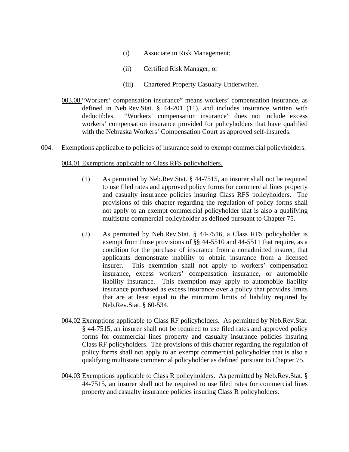- (i) Associate in Risk Management;
- (ii) Certified Risk Manager; or
- (iii) Chartered Property Casualty Underwriter.
- 003.08 "Workers' compensation insurance" means workers' compensation insurance, as defined in Neb.Rev.Stat. § 44-201 (11), and includes insurance written with deductibles. "Workers' compensation insurance" does not include excess workers' compensation insurance provided for policyholders that have qualified with the Nebraska Workers' Compensation Court as approved self-insureds.

#### 004. Exemptions applicable to policies of insurance sold to exempt commercial policyholders.

#### 004.01 Exemptions applicable to Class RFS policyholders.

- (1) As permitted by Neb.Rev.Stat. § 44-7515, an insurer shall not be required to use filed rates and approved policy forms for commercial lines property and casualty insurance policies insuring Class RFS policyholders. The provisions of this chapter regarding the regulation of policy forms shall not apply to an exempt commercial policyholder that is also a qualifying multistate commercial policyholder as defined pursuant to Chapter 75.
- (2) As permitted by Neb.Rev.Stat. § 44-7516, a Class RFS policyholder is exempt from those provisions of §§ 44-5510 and 44-5511 that require, as a condition for the purchase of insurance from a nonadmitted insurer, that applicants demonstrate inability to obtain insurance from a licensed insurer. This exemption shall not apply to workers' compensation insurance, excess workers' compensation insurance, or automobile liability insurance. This exemption may apply to automobile liability insurance purchased as excess insurance over a policy that provides limits that are at least equal to the minimum limits of liability required by Neb.Rev.Stat. § 60-534.
- 004.02 Exemptions applicable to Class RF policyholders. As permitted by Neb.Rev.Stat. § 44-7515, an insurer shall not be required to use filed rates and approved policy forms for commercial lines property and casualty insurance policies insuring Class RF policyholders. The provisions of this chapter regarding the regulation of policy forms shall not apply to an exempt commercial policyholder that is also a qualifying multistate commercial policyholder as defined pursuant to Chapter 75.
- 004.03 Exemptions applicable to Class R policyholders. As permitted by Neb.Rev.Stat. § 44-7515, an insurer shall not be required to use filed rates for commercial lines property and casualty insurance policies insuring Class R policyholders.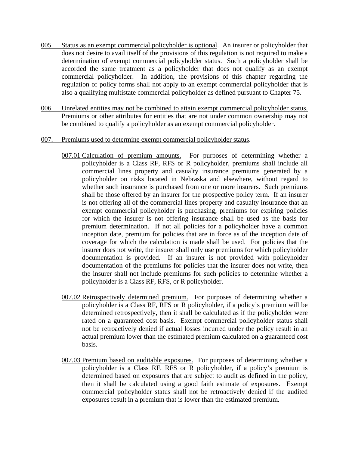- 005. Status as an exempt commercial policyholder is optional. An insurer or policyholder that does not desire to avail itself of the provisions of this regulation is not required to make a determination of exempt commercial policyholder status. Such a policyholder shall be accorded the same treatment as a policyholder that does not qualify as an exempt commercial policyholder. In addition, the provisions of this chapter regarding the regulation of policy forms shall not apply to an exempt commercial policyholder that is also a qualifying multistate commercial policyholder as defined pursuant to Chapter 75.
- 006. Unrelated entities may not be combined to attain exempt commercial policyholder status. Premiums or other attributes for entities that are not under common ownership may not be combined to qualify a policyholder as an exempt commercial policyholder.

### 007. Premiums used to determine exempt commercial policyholder status.

- 007.01 Calculation of premium amounts. For purposes of determining whether a policyholder is a Class RF, RFS or R policyholder, premiums shall include all commercial lines property and casualty insurance premiums generated by a policyholder on risks located in Nebraska and elsewhere, without regard to whether such insurance is purchased from one or more insurers. Such premiums shall be those offered by an insurer for the prospective policy term. If an insurer is not offering all of the commercial lines property and casualty insurance that an exempt commercial policyholder is purchasing, premiums for expiring policies for which the insurer is not offering insurance shall be used as the basis for premium determination. If not all policies for a policyholder have a common inception date, premium for policies that are in force as of the inception date of coverage for which the calculation is made shall be used. For policies that the insurer does not write, the insurer shall only use premiums for which policyholder documentation is provided. If an insurer is not provided with policyholder documentation of the premiums for policies that the insurer does not write, then the insurer shall not include premiums for such policies to determine whether a policyholder is a Class RF, RFS, or R policyholder.
- 007.02 Retrospectively determined premium. For purposes of determining whether a policyholder is a Class RF, RFS or R policyholder, if a policy's premium will be determined retrospectively, then it shall be calculated as if the policyholder were rated on a guaranteed cost basis. Exempt commercial policyholder status shall not be retroactively denied if actual losses incurred under the policy result in an actual premium lower than the estimated premium calculated on a guaranteed cost basis.
- 007.03 Premium based on auditable exposures. For purposes of determining whether a policyholder is a Class RF, RFS or R policyholder, if a policy's premium is determined based on exposures that are subject to audit as defined in the policy, then it shall be calculated using a good faith estimate of exposures. Exempt commercial policyholder status shall not be retroactively denied if the audited exposures result in a premium that is lower than the estimated premium.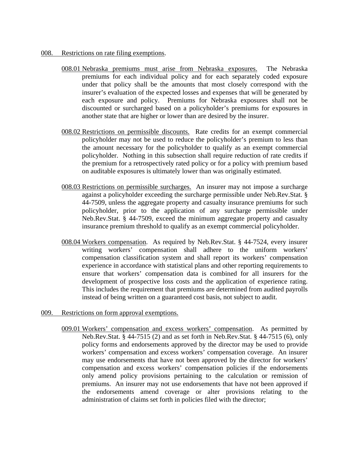- 008. Restrictions on rate filing exemptions.
	- 008.01 Nebraska premiums must arise from Nebraska exposures. The Nebraska premiums for each individual policy and for each separately coded exposure under that policy shall be the amounts that most closely correspond with the insurer's evaluation of the expected losses and expenses that will be generated by each exposure and policy. Premiums for Nebraska exposures shall not be discounted or surcharged based on a policyholder's premiums for exposures in another state that are higher or lower than are desired by the insurer.
	- 008.02 Restrictions on permissible discounts. Rate credits for an exempt commercial policyholder may not be used to reduce the policyholder's premium to less than the amount necessary for the policyholder to qualify as an exempt commercial policyholder. Nothing in this subsection shall require reduction of rate credits if the premium for a retrospectively rated policy or for a policy with premium based on auditable exposures is ultimately lower than was originally estimated.
	- 008.03 Restrictions on permissible surcharges. An insurer may not impose a surcharge against a policyholder exceeding the surcharge permissible under Neb.Rev.Stat. § 44-7509, unless the aggregate property and casualty insurance premiums for such policyholder, prior to the application of any surcharge permissible under Neb.Rev.Stat. § 44-7509, exceed the minimum aggregate property and casualty insurance premium threshold to qualify as an exempt commercial policyholder.
	- 008.04 Workers compensation. As required by Neb.Rev.Stat. § 44-7524, every insurer writing workers' compensation shall adhere to the uniform workers' compensation classification system and shall report its workers' compensation experience in accordance with statistical plans and other reporting requirements to ensure that workers' compensation data is combined for all insurers for the development of prospective loss costs and the application of experience rating. This includes the requirement that premiums are determined from audited payrolls instead of being written on a guaranteed cost basis, not subject to audit.
- 009. Restrictions on form approval exemptions.
	- 009.01 Workers' compensation and excess workers' compensation. As permitted by Neb.Rev.Stat. § 44-7515 (2) and as set forth in Neb.Rev.Stat. § 44-7515 (6), only policy forms and endorsements approved by the director may be used to provide workers' compensation and excess workers' compensation coverage. An insurer may use endorsements that have not been approved by the director for workers' compensation and excess workers' compensation policies if the endorsements only amend policy provisions pertaining to the calculation or remission of premiums. An insurer may not use endorsements that have not been approved if the endorsements amend coverage or alter provisions relating to the administration of claims set forth in policies filed with the director;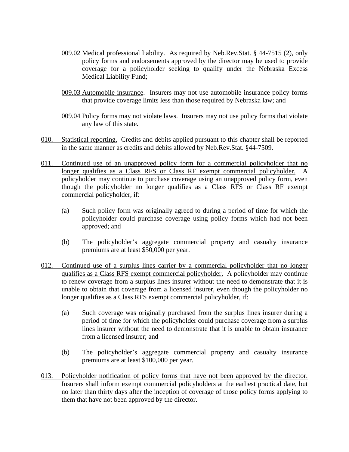- 009.02 Medical professional liability. As required by Neb.Rev.Stat. § 44-7515 (2), only policy forms and endorsements approved by the director may be used to provide coverage for a policyholder seeking to qualify under the Nebraska Excess Medical Liability Fund;
- 009.03 Automobile insurance. Insurers may not use automobile insurance policy forms that provide coverage limits less than those required by Nebraska law; and

009.04 Policy forms may not violate laws. Insurers may not use policy forms that violate any law of this state.

- 010. Statistical reporting. Credits and debits applied pursuant to this chapter shall be reported in the same manner as credits and debits allowed by Neb.Rev.Stat. §44-7509.
- 011. Continued use of an unapproved policy form for a commercial policyholder that no longer qualifies as a Class RFS or Class RF exempt commercial policyholder. A policyholder may continue to purchase coverage using an unapproved policy form, even though the policyholder no longer qualifies as a Class RFS or Class RF exempt commercial policyholder, if:
	- (a) Such policy form was originally agreed to during a period of time for which the policyholder could purchase coverage using policy forms which had not been approved; and
	- (b) The policyholder's aggregate commercial property and casualty insurance premiums are at least \$50,000 per year.
- 012. Continued use of a surplus lines carrier by a commercial policyholder that no longer qualifies as a Class RFS exempt commercial policyholder. A policyholder may continue to renew coverage from a surplus lines insurer without the need to demonstrate that it is unable to obtain that coverage from a licensed insurer, even though the policyholder no longer qualifies as a Class RFS exempt commercial policyholder, if:
	- (a) Such coverage was originally purchased from the surplus lines insurer during a period of time for which the policyholder could purchase coverage from a surplus lines insurer without the need to demonstrate that it is unable to obtain insurance from a licensed insurer; and
	- (b) The policyholder's aggregate commercial property and casualty insurance premiums are at least \$100,000 per year.
- 013. Policyholder notification of policy forms that have not been approved by the director. Insurers shall inform exempt commercial policyholders at the earliest practical date, but no later than thirty days after the inception of coverage of those policy forms applying to them that have not been approved by the director.